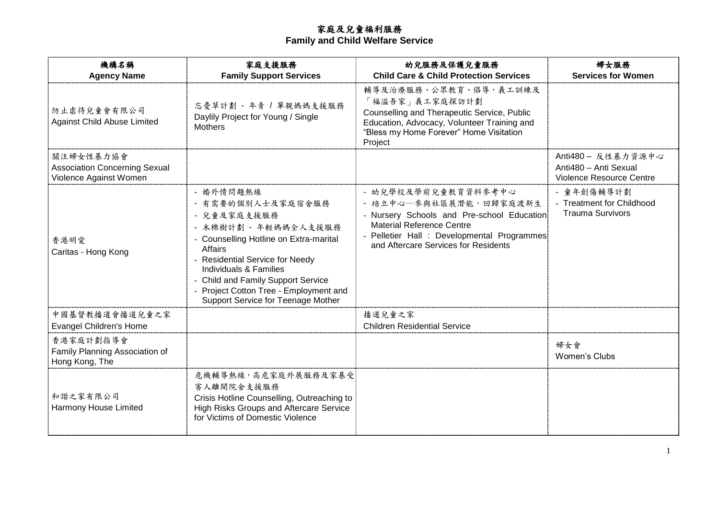## 家庭及兒童福利服務

### **Family and Child Welfare Service**

| 機構名稱<br><b>Agency Name</b>                                                  | 家庭支援服務<br><b>Family Support Services</b>                                                                                                                                                                                                                                                                           | 幼兒服務及保護兒童服務<br><b>Child Care &amp; Child Protection Services</b>                                                                                                                                                       | 婦女服務<br><b>Services for Women</b>                                       |
|-----------------------------------------------------------------------------|--------------------------------------------------------------------------------------------------------------------------------------------------------------------------------------------------------------------------------------------------------------------------------------------------------------------|------------------------------------------------------------------------------------------------------------------------------------------------------------------------------------------------------------------------|-------------------------------------------------------------------------|
| 防止虐待兒童會有限公司<br><b>Against Child Abuse Limited</b>                           | 忘憂草計劃 - 年青 / 單親媽媽支援服務<br>Daylily Project for Young / Single<br><b>Mothers</b>                                                                                                                                                                                                                                      | 輔導及治療服務、公眾教育、倡導,義工訓練及<br>「福溢吾家」義工家庭探訪計劃<br>Counselling and Therapeutic Service, Public<br>Education, Advocacy, Volunteer Training and<br>"Bless my Home Forever" Home Visitation<br>Project                            |                                                                         |
| 關注婦女性暴力協會<br><b>Association Concerning Sexual</b><br>Violence Against Women |                                                                                                                                                                                                                                                                                                                    |                                                                                                                                                                                                                        | Anti480 - 反性暴力資源中心<br>Anti480 - Anti Sexual<br>Violence Resource Centre |
| 香港明愛<br>Caritas - Hong Kong                                                 | - 婚外情問題熱線<br>- 有需要的個別人士及家庭宿舍服務<br>- 兒童及家庭支援服務<br>- 木棉樹計劃 - 年輕媽媽全人支援服務<br>- Counselling Hotline on Extra-marital<br><b>Affairs</b><br>- Residential Service for Needy<br>Individuals & Families<br>- Child and Family Support Service<br>Project Cotton Tree - Employment and<br>Support Service for Teenage Mother | - 幼兒學校及學前兒童教育資料參考中心<br>- 培立中心–参與社區展潛能,回歸家庭渡新生<br>- Nursery Schools and Pre-school Education<br><b>Material Reference Centre</b><br>- Pelletier Hall : Developmental Programmes<br>and Aftercare Services for Residents | - 童年創傷輔導計劃<br>- Treatment for Childhood<br><b>Trauma Survivors</b>      |
| 中國基督教播道會播道兒童之家<br><b>Evangel Children's Home</b>                            |                                                                                                                                                                                                                                                                                                                    | 播道兒童之家<br><b>Children Residential Service</b>                                                                                                                                                                          |                                                                         |
| 香港家庭計劃指導會<br>Family Planning Association of<br>Hong Kong, The               |                                                                                                                                                                                                                                                                                                                    |                                                                                                                                                                                                                        | 婦女會<br>Women's Clubs                                                    |
| 和諧之家有限公司<br>Harmony House Limited                                           | 危機輔導熱線,高危家庭外展服務及家暴受<br>害人離開院舍支援服務<br>Crisis Hotline Counselling, Outreaching to<br>High Risks Groups and Aftercare Service<br>for Victims of Domestic Violence                                                                                                                                                     |                                                                                                                                                                                                                        |                                                                         |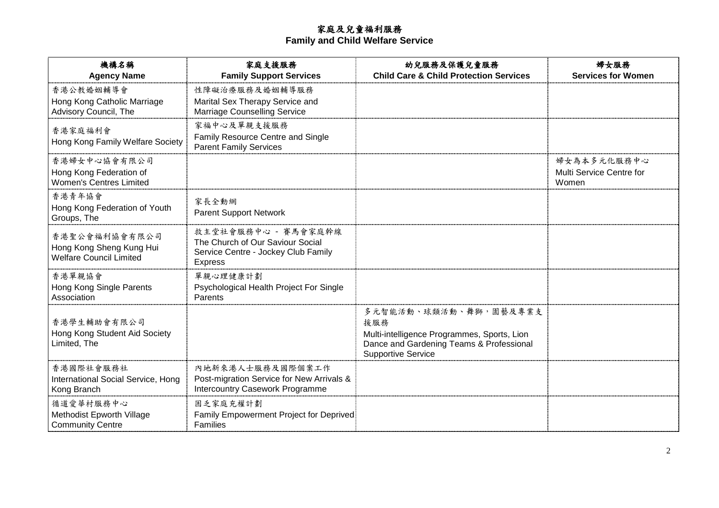# 家庭及兒童福利服務

**Family and Child Welfare Service**

| 機構名稱<br><b>Agency Name</b>                                                  | 家庭支援服務<br><b>Family Support Services</b>                                                                         | 幼兒服務及保護兒童服務<br><b>Child Care &amp; Child Protection Services</b>                                                                                     | 婦女服務<br><b>Services for Women</b>                |
|-----------------------------------------------------------------------------|------------------------------------------------------------------------------------------------------------------|------------------------------------------------------------------------------------------------------------------------------------------------------|--------------------------------------------------|
| 香港公教婚姻輔導會<br>Hong Kong Catholic Marriage<br>Advisory Council, The           | 性障礙治療服務及婚姻輔導服務<br>Marital Sex Therapy Service and<br><b>Marriage Counselling Service</b>                         |                                                                                                                                                      |                                                  |
| 香港家庭福利會<br>Hong Kong Family Welfare Society                                 | 家福中心及單親支援服務<br>Family Resource Centre and Single<br><b>Parent Family Services</b>                                |                                                                                                                                                      |                                                  |
| 香港婦女中心協會有限公司<br>Hong Kong Federation of<br><b>Women's Centres Limited</b>   |                                                                                                                  |                                                                                                                                                      | 婦女為本多元化服務中心<br>Multi Service Centre for<br>Women |
| 香港青年協會<br>Hong Kong Federation of Youth<br>Groups, The                      | 家長全動網<br><b>Parent Support Network</b>                                                                           |                                                                                                                                                      |                                                  |
| 香港聖公會福利協會有限公司<br>Hong Kong Sheng Kung Hui<br><b>Welfare Council Limited</b> | 救主堂社會服務中心 - 賽馬會家庭幹線<br>The Church of Our Saviour Social<br>Service Centre - Jockey Club Family<br><b>Express</b> |                                                                                                                                                      |                                                  |
| 香港單親協會<br>Hong Kong Single Parents<br>Association                           | 單親心理健康計劃<br>Psychological Health Project For Single<br>Parents                                                   |                                                                                                                                                      |                                                  |
| 香港學生輔助會有限公司<br>Hong Kong Student Aid Society<br>Limited, The                |                                                                                                                  | 多元智能活動、球類活動、舞獅,園藝及專業支<br>援服務<br>Multi-intelligence Programmes, Sports, Lion<br>Dance and Gardening Teams & Professional<br><b>Supportive Service</b> |                                                  |
| 香港國際社會服務社<br>International Social Service, Hong<br>Kong Branch              | 内地新來港人士服務及國際個案工作<br>Post-migration Service for New Arrivals &<br>Intercountry Casework Programme                 |                                                                                                                                                      |                                                  |
| 循道愛華村服務中心<br>Methodist Epworth Village<br><b>Community Centre</b>           | 困乏家庭充權計劃<br>Family Empowerment Project for Deprived<br>Families                                                  |                                                                                                                                                      |                                                  |